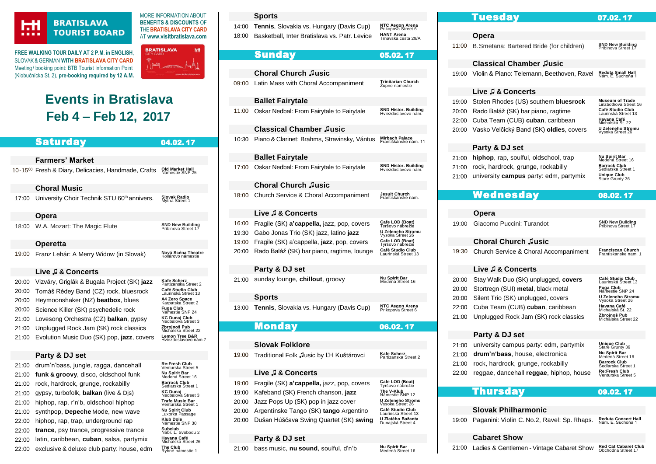

r

#### **BRATISLAVA TOURIST BOARD**

**FREE WALKING TOUR DAILY AT 2 P.M**. **in ENGLISH**, SLOVAK & GERMAN **WIT[H BRATISLAVA CITY CARD](https://www.visitbratislava.com/your-trip/stay-in-the-city/city-card-advantages/)** Meeting/ booking point: BTB Tourist Information Point (Klobučnícka St. 2), **pre-booking required by 12 A.M.**



Michalska Street 22

Lemon Tree B&R

Rybné námestie 1

MORE INFORMATION ABOUT **BENEFITS & DISCOUNTS** OF THE**[BRATISLAVA CITY CARD](https://www.visitbratislava.com/your-trip/stay-in-the-city/city-card-advantages/)** AT **[www.visitbratislava.com](http://www.visitbratislava.com/)**

## **Events in Bratislava Feb 4 – Feb 12, 2017**

|       | <b>Saturday</b>                                                 | 04.02.17                                       | 10:3        |
|-------|-----------------------------------------------------------------|------------------------------------------------|-------------|
|       |                                                                 |                                                |             |
|       | <b>Farmers' Market</b>                                          |                                                |             |
|       | 10-15 <sup>00</sup> Fresh & Diary, Delicacies, Handmade, Crafts | <b>Old Market Hall</b><br>Námestie SNP 25      | 17:0        |
|       | <b>Choral Music</b>                                             |                                                |             |
| 17:00 | University Choir Technik STU 60 <sup>th</sup> annivers.         | <b>Slovak Radio</b><br>Mýtna Street 1          | 18:C        |
|       | Opera                                                           |                                                |             |
| 18:00 | W.A. Mozart: The Magic Flute                                    | <b>SND New Building</b><br>Pribinova Street 17 | 16:<br>19:3 |
|       | <b>Operetta</b>                                                 |                                                | 19:0        |
| 19:00 | Franz Lehár: A Merry Widow (in Slovak)                          | Nová Scéna Theatre<br>Kollárovo námestie       | 20:0        |
|       | Live J & Concerts                                               |                                                |             |
| 20:00 | Vizváry, Griglák & Bugala Project (SK) jazz                     | Kafe Scherz<br>Partizanska Street 2            | 21:0        |
| 20:00 | Tomáš Rédey Band (CZ) rock, bluesrock                           | Café Studio Club<br>Laurinská Street 13        |             |
| 20:00 | Heymoonshaker (NZ) beatbox, blues                               | A4 Zero Space<br>Karpatska Street 2            |             |
| 20:00 | Science Killer (SK) psychedelic rock                            | Fuga Club<br>Námestie SNP 24                   | 13:0        |
| 21:00 | Lovesong Orchestra (CZ) <b>balkan</b> , gypsy                   | KC Dunaj Club<br>Nedbalova Street 3            |             |
| 04.00 | Unpluseed Book, Jom (CK) rook eleccion                          | Zhroinoš Pub                                   |             |

#### [21:00](http://www.kcdunaj.sk/) Lovesong Orchestra (CZ) **balkan**, gypsy

- [21:00](http://zbrojnos.com/) Unplugged Rock Jam (SK) rock classics
- [21:00](http://www.lemontree.sk/akcie-najlepsia-restauracia-v-bratislave) Evolution Music Duo (SK) pop, **jazz**, covers **Lemon Tree B&R**

#### **Party & DJ set**

| 21:00 | drum'n'bass, jungle, ragga, dancehall        | <b>Re:Fresh Club</b><br>Venturska Street 5 |
|-------|----------------------------------------------|--------------------------------------------|
| 21:00 | funk & groovy, disco, oldschool funk         | Nu Spirit Bar<br>Medená Street 16          |
| 21:00 | rock, hardrock, grunge, rockabilly           | <b>Barrock Club</b><br>Sedlarska Street 1  |
| 21:00 | gypsy, turbofolk, <b>balkan</b> (live & Dis) | <b>KC Dunai</b><br>Nedbalova Street 3      |
| 21:00 | hiphop, rap, r'n'b, oldschool hiphop         | Trafo Music Bar<br>Venturska Street 1      |
| 21:00 | synthpop, Depeche Mode, new wave             | <b>Nu Spirit Club</b><br>Luxorka Passage   |
| 22:00 | hiphop, rap, trap, underground rap           | Klub Dole<br>Námestie SNP 30               |
| 22:00 | trance, psy trance, progressive trance       | Subclub<br>Nabr. L. Svobodu 2              |
| 22:00 | latin, caribbean, cuban, salsa, partymix     | Havana Café<br>Michalská Street 26         |
| 22:00 | exclusive & deluxe club party: house, edm    | The Club<br>Ryhné námestie 1               |

#### **Sports**

[14:00](https://www.ticketportal.sk/event.aspx?id=23202) **Tennis**, Slovakia vs. Hungary (Davis Cup) **NTC Aegon Arena**<br>Prikopova Street 6 [18:00](http://bkinter.sk/index.cfm?module=Events) Basketball, Inter Bratislava vs. Patr. Levice HANT Arena<br>Trnavska cesta 29/A

#### Sunday05.02. 17

|                                  | <b>Choral Church Jusic</b>                                                                                                                                                       |                                                                                                                                                                |
|----------------------------------|----------------------------------------------------------------------------------------------------------------------------------------------------------------------------------|----------------------------------------------------------------------------------------------------------------------------------------------------------------|
| 09:00                            | Latin Mass with Choral Accompaniment                                                                                                                                             | Trinitarian Church<br>Zupne namestie                                                                                                                           |
|                                  | <b>Ballet Fairytale</b>                                                                                                                                                          |                                                                                                                                                                |
| 11:00                            | Oskar Nedbal: From Fairytale to Fairytale                                                                                                                                        | <b>SND Histor. Building</b><br>Hviezdoslavovo nám.                                                                                                             |
|                                  | <b>Classical Chamber Jusic</b>                                                                                                                                                   |                                                                                                                                                                |
| 10:30                            | Piano & Clarinet: Brahms, Stravinsky, Vántus                                                                                                                                     | Mirbach Palace<br>Františkánske nám. 11                                                                                                                        |
|                                  | <b>Ballet Fairytale</b>                                                                                                                                                          |                                                                                                                                                                |
| 17:00                            | Oskar Nedbal: From Fairytale to Fairytale                                                                                                                                        | <b>SND Histor. Building</b><br>Hviezdoslavovo nám.                                                                                                             |
|                                  | <b>Choral Church Jusic</b>                                                                                                                                                       |                                                                                                                                                                |
| 18:00                            | Church Service & Choral Accompaniment                                                                                                                                            | <b>Jesuit Church</b><br>Frantiskanske nam.                                                                                                                     |
|                                  | Live J & Concerts                                                                                                                                                                |                                                                                                                                                                |
| 16:00<br>19:30<br>19:00<br>20:00 | Fragile (SK) a'cappella, jazz, pop, covers<br>Gabo Jonas Trio (SK) jazz, latino jazz<br>Fragile (SK) a'cappella, jazz, pop, covers<br>Rado Baláž (SK) bar piano, ragtime, lounge | Cafe LOD (Boat)<br>Tvršovo nábrežié<br>U Zeleneho Stromu<br>Vysoka Street 26<br>Cafe LOD (Boat)<br>Tyršovo nábrežié<br>Café Studio Club<br>Laurinská Street 13 |
|                                  | <b>Party &amp; DJ set</b>                                                                                                                                                        |                                                                                                                                                                |
| 21:00                            | sunday lounge, chillout, groovy                                                                                                                                                  | Nu Spirit Bar<br>Medená Street 16                                                                                                                              |

#### **Sports**

[13:00](https://www.ticketportal.sk/event.aspx?id=23202) **Tennis**, Slovakia vs. Hungary (Davis Cup) **NTC Aegon Arena**<br>Prikopova Street 6

#### Monday06.02. 17

#### **Slovak Folklore**

[19:00](https://www.citylife.sk/koncert/z-kazdeho-rozku-trosku) Traditional Folk ♫usic by ĽH Kuštárovci **Kafe Scherz** Partizanska Street 2

#### **Live ♫ & Concerts**

| 19:00 | Fragile (SK) a'cappella, jazz, pop, covers | Cafe LOD (Boat)<br>Tyršovo nábrežie     |
|-------|--------------------------------------------|-----------------------------------------|
| 19:00 | Kafeband (SK) French chanson, jazz         | The V-Klub<br>Námestie SNP 12           |
|       | 20:00 Jazz Pops Up (SK) pop in jazz cover  | U Zeleneho Stromu<br>Vysoka Street 26   |
| 20:00 | Argentínske Tango (SK) tango Argentino     | Café Studio Club<br>Laurinská Street 13 |
| 20:00 | Dušan Húščava Swing Quartet (SK) swing     | U Zlatého Bažanta<br>Dunajská Street 4  |
|       |                                            |                                         |

#### **Party & DJ set**

[21:00](http://www.nuspirit.sk/sk/program) bass music, nu sound, soulful, d'n'b

**Nu Spirit Bar**<br>Medená Street 16

# Tuesday07.02. 17

#### **Opera**

[11:00](http://www.snd.sk/?program-7) B. Smetana: Bartered Bride (for children) **SND New Building**<br>Pribinova Street 17

#### **Classical Chamber ♫usic**

[19:00](http://www.filharm.sk/index.php?page=concerts&show_date=1393282800) Violin & Piano: Telemann, Beethoven, Ravel Reduta Small Hall

#### **Live ♫ & Concerts**

|       | 19:00 Stolen Rhodes (US) southern bluesrock | <b>Museum of Trade</b><br>Linzbothova Street 16 |
|-------|---------------------------------------------|-------------------------------------------------|
| 20:00 | Rado Baláž (SK) bar piano, ragtime          | Café Studio Club<br>Laurinská Street 13         |
|       | 22:00 Cuba Team (CUB) cuban, caribbean      | <b>Havana Café</b><br>Michalská St. 22          |
| 20:00 | Vasko Velčický Band (SK) oldies, covers     | <b>U Zeleneho Stromu</b><br>Vysoka Street 26    |

#### **Party & DJ set**

| 21:00 hiphop, rap, soulful, oldschool, trap         | <b>Nu Spirit Bar</b><br>Medená Street 16  |
|-----------------------------------------------------|-------------------------------------------|
| 21:00 rock, hardrock, grunge, rockabilly            | <b>Barrock Club</b><br>Sedlarska Street 1 |
| 21:00 university <b>campus</b> party: edm, partymix | <b>Unique Club</b><br>Stare Grunty 36     |

### Wednesday08.02. 17

#### **Opera**

[19:00](http://www.snd.sk/?program-7) Giacomo Puccini: Turandot **SND New Building**

Pribinova Street 17

#### **Choral Church ♫usic**

[19:30](http://chorus-salvatoris.com/) Church Service & Choral Accompaniment Franciscan Church<br>Frantiskanske nam.

#### **Live ♫ & Concerts**

|       | 20:00 Stay Walk Duo (SK) unplugged, covers | Café Studio Club<br>Laurinská Street 13 |
|-------|--------------------------------------------|-----------------------------------------|
|       | 20:00 Stortregn (SUI) metal, black metal   | Fuga Club<br>Námestie SNP 24            |
|       | 20:00 Silent Trio (SK) unplugged, covers   | U Zeleneho Stromu<br>Vysoka Street 26   |
| 22:00 | Cuba Team (CUB) cuban, caribbean           | Havana Café<br>Michalská St. 22         |
| 21:00 | Unplugged Rock Jam (SK) rock classics      | Zbrojnoš Pub<br>Michalska Street 22     |

#### **Party & DJ set**

| 21:00 | university campus party: edm, partymix  | <b>Unique Club</b><br>Stare Grunty 36      |
|-------|-----------------------------------------|--------------------------------------------|
| 21:00 | drum'n'bass, house, electronica         | Nu Spirit Bar<br>Medená Street 16          |
| 21:00 | rock, hardrock, grunge, rockabilly      | <b>Barrock Club</b><br>Sedlarska Street 1  |
| 22:00 | reggae, dancehall reggae, hiphop, house | <b>Re:Fresh Club</b><br>Venturska Street 5 |

#### Thursday09.02. 17

#### **Slovak Philharmonic**

[19:00](http://www.filharmonia.sk/en/) Paganini: Violin C. No.2, Ravel: Sp. Rhaps. Reduta Concert Hall<br>Nám. E. Suchoňa 1

#### **Cabaret Show**

[21:00](http://redcatcabaret.com/program/) Ladies & Gentlemen - Vintage Cabaret Show Red Cat Cabaret Club<br>Obchodna Street 17